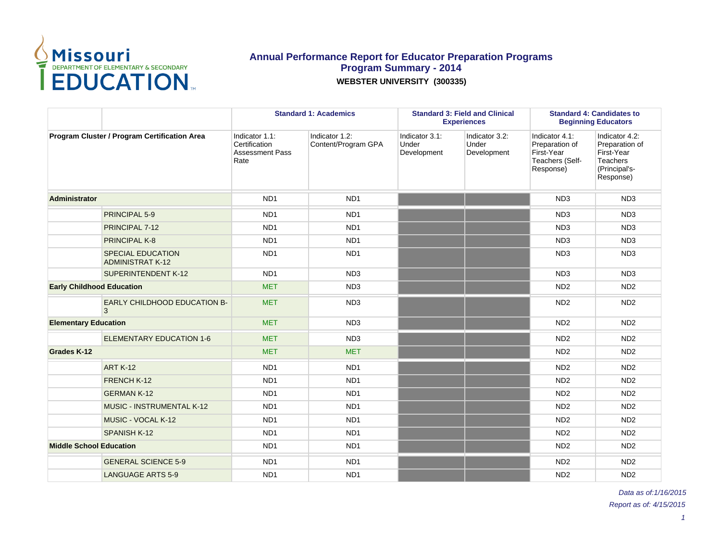

|                                  |                                                     |                                                                   | <b>Standard 1: Academics</b>          |                                        | <b>Standard 3: Field and Clinical</b><br><b>Experiences</b> |                                                                                | <b>Standard 4: Candidates to</b><br><b>Beginning Educators</b>                                  |
|----------------------------------|-----------------------------------------------------|-------------------------------------------------------------------|---------------------------------------|----------------------------------------|-------------------------------------------------------------|--------------------------------------------------------------------------------|-------------------------------------------------------------------------------------------------|
|                                  | Program Cluster / Program Certification Area        | Indicator 1.1:<br>Certification<br><b>Assessment Pass</b><br>Rate | Indicator 1.2:<br>Content/Program GPA | Indicator 3.1:<br>Under<br>Development | Indicator 3.2:<br>Under<br>Development                      | Indicator 4.1:<br>Preparation of<br>First-Year<br>Teachers (Self-<br>Response) | Indicator 4.2:<br>Preparation of<br>First-Year<br><b>Teachers</b><br>(Principal's-<br>Response) |
| <b>Administrator</b>             |                                                     | ND <sub>1</sub>                                                   | ND <sub>1</sub>                       |                                        |                                                             | ND <sub>3</sub>                                                                | ND <sub>3</sub>                                                                                 |
|                                  | PRINCIPAL 5-9                                       | ND <sub>1</sub>                                                   | ND <sub>1</sub>                       |                                        |                                                             | ND <sub>3</sub>                                                                | ND <sub>3</sub>                                                                                 |
|                                  | PRINCIPAL 7-12                                      | ND <sub>1</sub>                                                   | ND <sub>1</sub>                       |                                        |                                                             | ND <sub>3</sub>                                                                | ND <sub>3</sub>                                                                                 |
|                                  | <b>PRINCIPAL K-8</b>                                | ND <sub>1</sub>                                                   | ND <sub>1</sub>                       |                                        |                                                             | ND <sub>3</sub>                                                                | ND <sub>3</sub>                                                                                 |
|                                  | <b>SPECIAL EDUCATION</b><br><b>ADMINISTRAT K-12</b> | ND <sub>1</sub>                                                   | ND <sub>1</sub>                       |                                        |                                                             | ND <sub>3</sub>                                                                | ND <sub>3</sub>                                                                                 |
|                                  | <b>SUPERINTENDENT K-12</b>                          | ND <sub>1</sub>                                                   | ND <sub>3</sub>                       |                                        |                                                             | ND <sub>3</sub>                                                                | ND <sub>3</sub>                                                                                 |
| <b>Early Childhood Education</b> |                                                     | <b>MET</b>                                                        | ND <sub>3</sub>                       |                                        |                                                             | ND <sub>2</sub>                                                                | ND <sub>2</sub>                                                                                 |
|                                  | EARLY CHILDHOOD EDUCATION B-<br>3                   | <b>MET</b>                                                        | ND <sub>3</sub>                       |                                        |                                                             | ND <sub>2</sub>                                                                | ND <sub>2</sub>                                                                                 |
| <b>Elementary Education</b>      |                                                     | <b>MET</b>                                                        | ND <sub>3</sub>                       |                                        |                                                             | ND <sub>2</sub>                                                                | ND <sub>2</sub>                                                                                 |
|                                  | <b>ELEMENTARY EDUCATION 1-6</b>                     | <b>MET</b>                                                        | ND <sub>3</sub>                       |                                        |                                                             | ND <sub>2</sub>                                                                | ND <sub>2</sub>                                                                                 |
| Grades K-12                      |                                                     | <b>MET</b>                                                        | <b>MET</b>                            |                                        |                                                             | ND <sub>2</sub>                                                                | ND <sub>2</sub>                                                                                 |
|                                  | <b>ART K-12</b>                                     | ND <sub>1</sub>                                                   | ND <sub>1</sub>                       |                                        |                                                             | ND <sub>2</sub>                                                                | ND <sub>2</sub>                                                                                 |
|                                  | FRENCH K-12                                         | ND <sub>1</sub>                                                   | ND <sub>1</sub>                       |                                        |                                                             | ND <sub>2</sub>                                                                | ND <sub>2</sub>                                                                                 |
|                                  | <b>GERMAN K-12</b>                                  | ND <sub>1</sub>                                                   | ND <sub>1</sub>                       |                                        |                                                             | ND <sub>2</sub>                                                                | ND <sub>2</sub>                                                                                 |
|                                  | <b>MUSIC - INSTRUMENTAL K-12</b>                    | ND <sub>1</sub>                                                   | ND <sub>1</sub>                       |                                        |                                                             | ND <sub>2</sub>                                                                | ND <sub>2</sub>                                                                                 |
|                                  | MUSIC - VOCAL K-12                                  | ND <sub>1</sub>                                                   | ND <sub>1</sub>                       |                                        |                                                             | ND <sub>2</sub>                                                                | ND <sub>2</sub>                                                                                 |
|                                  | <b>SPANISH K-12</b>                                 | ND <sub>1</sub>                                                   | ND <sub>1</sub>                       |                                        |                                                             | ND <sub>2</sub>                                                                | ND <sub>2</sub>                                                                                 |
| <b>Middle School Education</b>   |                                                     | ND <sub>1</sub>                                                   | ND <sub>1</sub>                       |                                        |                                                             | ND <sub>2</sub>                                                                | ND <sub>2</sub>                                                                                 |
|                                  | <b>GENERAL SCIENCE 5-9</b>                          | ND <sub>1</sub>                                                   | ND <sub>1</sub>                       |                                        |                                                             | ND <sub>2</sub>                                                                | ND <sub>2</sub>                                                                                 |
|                                  | <b>LANGUAGE ARTS 5-9</b>                            | ND <sub>1</sub>                                                   | ND <sub>1</sub>                       |                                        |                                                             | ND <sub>2</sub>                                                                | ND <sub>2</sub>                                                                                 |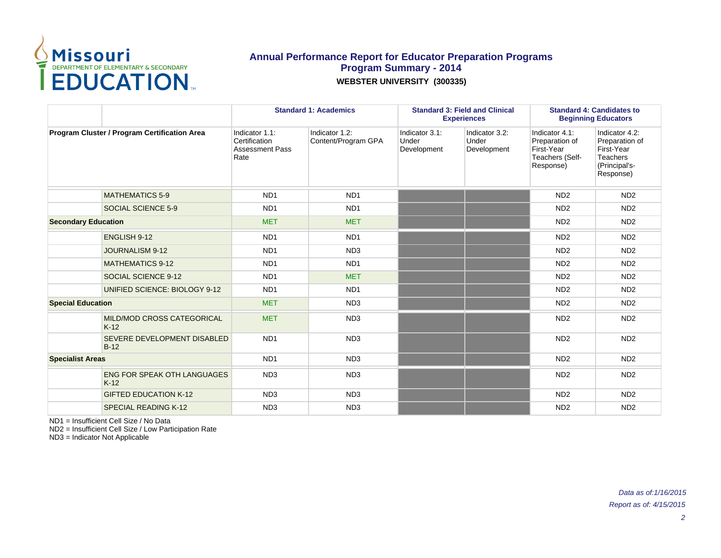

|                                              |                                              | <b>Standard 1: Academics</b>                                      |                                       |                                        | <b>Standard 3: Field and Clinical</b><br><b>Experiences</b> | <b>Standard 4: Candidates to</b><br><b>Beginning Educators</b>                 |                                                                                                 |  |
|----------------------------------------------|----------------------------------------------|-------------------------------------------------------------------|---------------------------------------|----------------------------------------|-------------------------------------------------------------|--------------------------------------------------------------------------------|-------------------------------------------------------------------------------------------------|--|
| Program Cluster / Program Certification Area |                                              | Indicator 1.1:<br>Certification<br><b>Assessment Pass</b><br>Rate | Indicator 1.2:<br>Content/Program GPA | Indicator 3.1:<br>Under<br>Development | Indicator 3.2:<br>Under<br>Development                      | Indicator 4.1:<br>Preparation of<br>First-Year<br>Teachers (Self-<br>Response) | Indicator 4.2:<br>Preparation of<br>First-Year<br><b>Teachers</b><br>(Principal's-<br>Response) |  |
|                                              | <b>MATHEMATICS 5-9</b>                       | ND <sub>1</sub>                                                   | ND <sub>1</sub>                       |                                        |                                                             | ND <sub>2</sub>                                                                | ND <sub>2</sub>                                                                                 |  |
|                                              | SOCIAL SCIENCE 5-9                           | ND <sub>1</sub>                                                   | ND <sub>1</sub>                       |                                        |                                                             | ND <sub>2</sub>                                                                | ND <sub>2</sub>                                                                                 |  |
| <b>Secondary Education</b>                   |                                              | <b>MET</b>                                                        | <b>MET</b>                            |                                        |                                                             | ND <sub>2</sub>                                                                | ND <sub>2</sub>                                                                                 |  |
|                                              | ENGLISH 9-12                                 | ND <sub>1</sub>                                                   | ND <sub>1</sub>                       |                                        |                                                             | N <sub>D</sub> <sub>2</sub>                                                    | ND <sub>2</sub>                                                                                 |  |
|                                              | <b>JOURNALISM 9-12</b>                       | ND <sub>1</sub>                                                   | ND <sub>3</sub>                       |                                        |                                                             | ND <sub>2</sub>                                                                | ND <sub>2</sub>                                                                                 |  |
|                                              | <b>MATHEMATICS 9-12</b>                      | ND <sub>1</sub>                                                   | ND <sub>1</sub>                       |                                        |                                                             | ND <sub>2</sub>                                                                | ND <sub>2</sub>                                                                                 |  |
|                                              | SOCIAL SCIENCE 9-12                          | ND <sub>1</sub>                                                   | <b>MET</b>                            |                                        |                                                             | ND <sub>2</sub>                                                                | ND <sub>2</sub>                                                                                 |  |
|                                              | UNIFIED SCIENCE: BIOLOGY 9-12                | ND <sub>1</sub>                                                   | ND <sub>1</sub>                       |                                        |                                                             | ND <sub>2</sub>                                                                | ND <sub>2</sub>                                                                                 |  |
| <b>Special Education</b>                     |                                              | <b>MET</b>                                                        | ND <sub>3</sub>                       |                                        |                                                             | ND <sub>2</sub>                                                                | ND <sub>2</sub>                                                                                 |  |
|                                              | <b>MILD/MOD CROSS CATEGORICAL</b><br>$K-12$  | <b>MET</b>                                                        | ND <sub>3</sub>                       |                                        |                                                             | ND <sub>2</sub>                                                                | ND <sub>2</sub>                                                                                 |  |
|                                              | SEVERE DEVELOPMENT DISABLED<br>$B-12$        | ND <sub>1</sub>                                                   | ND <sub>3</sub>                       |                                        |                                                             | ND <sub>2</sub>                                                                | ND <sub>2</sub>                                                                                 |  |
| <b>Specialist Areas</b>                      |                                              | ND <sub>1</sub>                                                   | ND <sub>3</sub>                       |                                        |                                                             | ND <sub>2</sub>                                                                | ND <sub>2</sub>                                                                                 |  |
|                                              | <b>ENG FOR SPEAK OTH LANGUAGES</b><br>$K-12$ | ND <sub>3</sub>                                                   | ND <sub>3</sub>                       |                                        |                                                             | N <sub>D</sub> <sub>2</sub>                                                    | ND <sub>2</sub>                                                                                 |  |
|                                              | <b>GIFTED EDUCATION K-12</b>                 | ND <sub>3</sub>                                                   | ND <sub>3</sub>                       |                                        |                                                             | ND <sub>2</sub>                                                                | ND <sub>2</sub>                                                                                 |  |
|                                              | <b>SPECIAL READING K-12</b>                  | ND <sub>3</sub>                                                   | ND <sub>3</sub>                       |                                        |                                                             | ND <sub>2</sub>                                                                | ND <sub>2</sub>                                                                                 |  |

ND1 = Insufficient Cell Size / No Data

ND2 = Insufficient Cell Size / Low Participation Rate

ND3 = Indicator Not Applicable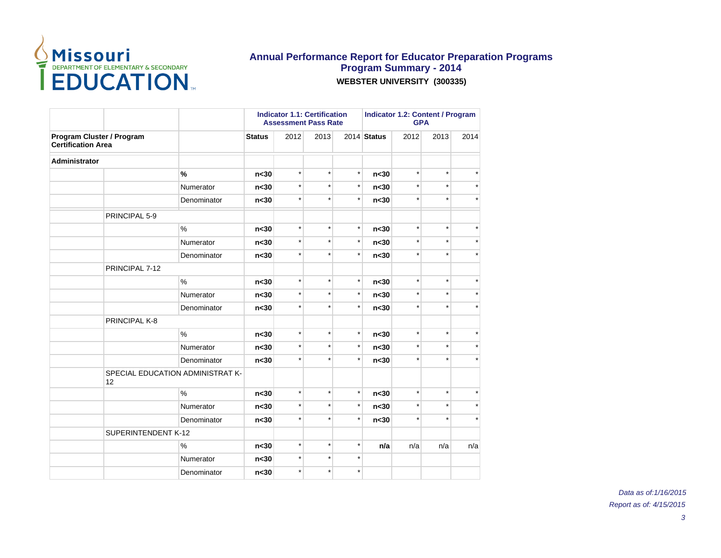

|                                                        |                     |                                  |                 |         | <b>Indicator 1.1: Certification</b><br><b>Assessment Pass Rate</b> |          | <b>Indicator 1.2: Content / Program</b><br><b>GPA</b> |         |         |         |
|--------------------------------------------------------|---------------------|----------------------------------|-----------------|---------|--------------------------------------------------------------------|----------|-------------------------------------------------------|---------|---------|---------|
| Program Cluster / Program<br><b>Certification Area</b> |                     |                                  | <b>Status</b>   | 2012    | 2013                                                               |          | 2014 Status<br>2012                                   |         | 2013    | 2014    |
| Administrator                                          |                     |                                  |                 |         |                                                                    |          |                                                       |         |         |         |
|                                                        |                     | $\%$                             | n <sub>30</sub> | $\star$ | $\star$                                                            | $\star$  | n <sub>30</sub>                                       | $\star$ | $\star$ |         |
|                                                        |                     | Numerator                        | n <sub>30</sub> | $\star$ | $\star$                                                            | $\star$  | n <sub>30</sub>                                       | $\star$ | $\star$ |         |
|                                                        |                     | Denominator                      | n <sub>30</sub> | $\star$ | $\star$                                                            | $\star$  | n <sub>30</sub>                                       | $\star$ | $\star$ |         |
|                                                        | PRINCIPAL 5-9       |                                  |                 |         |                                                                    |          |                                                       |         |         |         |
|                                                        |                     | $\%$                             | n <sub>30</sub> | $\star$ | $\star$                                                            | $\star$  | n <sub>30</sub>                                       | $\star$ | $\star$ |         |
|                                                        |                     | Numerator                        | n <sub>30</sub> | $\star$ | $\star$                                                            | $^\star$ | n <sub>30</sub>                                       | $\star$ | $\star$ |         |
|                                                        |                     | Denominator                      | n <sub>30</sub> | $\star$ | $\star$                                                            | $\star$  | n <sub>30</sub>                                       | $\star$ | $\star$ | $\star$ |
|                                                        | PRINCIPAL 7-12      |                                  |                 |         |                                                                    |          |                                                       |         |         |         |
|                                                        |                     | $\%$                             | n <sub>30</sub> | $\star$ | $\star$                                                            | $\star$  | n <sub>30</sub>                                       | $\star$ | $\star$ |         |
|                                                        |                     | Numerator                        | n <sub>30</sub> | $\star$ | $\star$                                                            | $\star$  | n <sub>30</sub>                                       | $\star$ | $\star$ | $\star$ |
|                                                        |                     | Denominator                      | n <sub>30</sub> | $\star$ | $\star$                                                            | $\star$  | n <sub>30</sub>                                       | $\star$ | $\star$ | $\star$ |
|                                                        | PRINCIPAL K-8       |                                  |                 |         |                                                                    |          |                                                       |         |         |         |
|                                                        |                     | $\%$                             | n <sub>30</sub> | $\star$ | $\star$                                                            | $\star$  | n <sub>30</sub>                                       | $\star$ | $\star$ | $\star$ |
|                                                        |                     | Numerator                        | n <sub>30</sub> | $\star$ | $\star$                                                            | $\star$  | n <sub>30</sub>                                       | $\star$ | $\star$ | $\star$ |
|                                                        |                     | Denominator                      | n <sub>30</sub> | $\star$ | $\star$                                                            | $\star$  | n <sub>30</sub>                                       | $\star$ | $\star$ |         |
|                                                        | 12                  | SPECIAL EDUCATION ADMINISTRAT K- |                 |         |                                                                    |          |                                                       |         |         |         |
|                                                        |                     | $\%$                             | n <sub>30</sub> | $\star$ | $\star$                                                            | $\star$  | n <sub>30</sub>                                       | $\star$ | $\star$ | $\star$ |
|                                                        |                     | Numerator                        | n <sub>30</sub> | $\star$ | $\star$                                                            | $\star$  | n <sub>30</sub>                                       | $\star$ | $\star$ | $\star$ |
|                                                        |                     | Denominator                      | n <sub>30</sub> | $\star$ | $\star$                                                            | $\star$  | n <sub>30</sub>                                       | $\star$ | $\star$ |         |
|                                                        | SUPERINTENDENT K-12 |                                  |                 |         |                                                                    |          |                                                       |         |         |         |
|                                                        |                     | $\%$                             | n <sub>30</sub> | $\star$ | $\star$                                                            | $^\star$ | n/a                                                   | n/a     | n/a     | n/a     |
|                                                        |                     | Numerator                        | n <sub>30</sub> | $\star$ | $\star$                                                            | $\star$  |                                                       |         |         |         |
|                                                        |                     | Denominator                      | n <sub>30</sub> | $\star$ | $\star$                                                            | $\star$  |                                                       |         |         |         |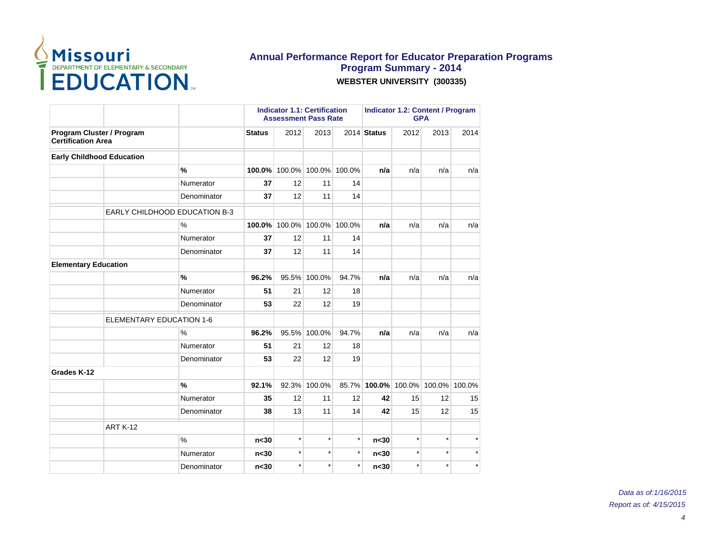

|                                                        |                                 |                                      |                 | <b>Indicator 1.1: Certification</b><br><b>Assessment Pass Rate</b> |         |         | <b>Indicator 1.2: Content / Program</b><br><b>GPA</b> |         |         |         |
|--------------------------------------------------------|---------------------------------|--------------------------------------|-----------------|--------------------------------------------------------------------|---------|---------|-------------------------------------------------------|---------|---------|---------|
| Program Cluster / Program<br><b>Certification Area</b> |                                 |                                      | <b>Status</b>   | 2012                                                               | 2013    |         | 2014 Status                                           | 2012    | 2013    | 2014    |
| <b>Early Childhood Education</b>                       |                                 |                                      |                 |                                                                    |         |         |                                                       |         |         |         |
|                                                        |                                 | %                                    | 100.0%          | 100.0%                                                             | 100.0%  | 100.0%  | n/a                                                   | n/a     | n/a     | n/a     |
|                                                        |                                 | Numerator                            | 37              | 12                                                                 | 11      | 14      |                                                       |         |         |         |
|                                                        |                                 | Denominator                          | 37              | 12                                                                 | 11      | 14      |                                                       |         |         |         |
|                                                        |                                 | <b>EARLY CHILDHOOD EDUCATION B-3</b> |                 |                                                                    |         |         |                                                       |         |         |         |
|                                                        |                                 | $\%$                                 | 100.0%          | 100.0%                                                             | 100.0%  | 100.0%  | n/a                                                   | n/a     | n/a     | n/a     |
|                                                        |                                 | Numerator                            | 37              | 12                                                                 | 11      | 14      |                                                       |         |         |         |
|                                                        |                                 | Denominator                          | 37              | 12                                                                 | 11      | 14      |                                                       |         |         |         |
| <b>Elementary Education</b>                            |                                 |                                      |                 |                                                                    |         |         |                                                       |         |         |         |
|                                                        |                                 | $\frac{9}{6}$                        | 96.2%           | 95.5%                                                              | 100.0%  | 94.7%   | n/a                                                   | n/a     | n/a     | n/a     |
|                                                        |                                 | Numerator                            | 51              | 21                                                                 | 12      | 18      |                                                       |         |         |         |
|                                                        |                                 | Denominator                          | 53              | 22                                                                 | 12      | 19      |                                                       |         |         |         |
|                                                        | <b>ELEMENTARY EDUCATION 1-6</b> |                                      |                 |                                                                    |         |         |                                                       |         |         |         |
|                                                        |                                 | $\%$                                 | 96.2%           | 95.5%                                                              | 100.0%  | 94.7%   | n/a                                                   | n/a     | n/a     | n/a     |
|                                                        |                                 | Numerator                            | 51              | 21                                                                 | 12      | 18      |                                                       |         |         |         |
|                                                        |                                 | Denominator                          | 53              | 22                                                                 | 12      | 19      |                                                       |         |         |         |
| Grades K-12                                            |                                 |                                      |                 |                                                                    |         |         |                                                       |         |         |         |
|                                                        |                                 | %                                    | 92.1%           | 92.3%                                                              | 100.0%  |         | 85.7% 100.0% 100.0% 100.0% 100.0%                     |         |         |         |
|                                                        |                                 | Numerator                            | 35              | 12                                                                 | 11      | 12      | 42                                                    | 15      | 12      | 15      |
|                                                        |                                 | Denominator                          | 38              | 13                                                                 | 11      | 14      | 42                                                    | 15      | 12      | 15      |
|                                                        | <b>ART K-12</b>                 |                                      |                 |                                                                    |         |         |                                                       |         |         |         |
|                                                        |                                 | $\frac{0}{0}$                        | n <sub>30</sub> | $\star$                                                            | $\star$ | $\star$ | n <sub>30</sub>                                       | $\star$ | $\star$ |         |
|                                                        |                                 | Numerator                            | n <sub>30</sub> | $\star$                                                            | $\star$ | $\star$ | n <sub>30</sub>                                       | $\star$ | $\star$ |         |
|                                                        |                                 | Denominator                          | n <sub>30</sub> | $\star$                                                            | $\star$ | $\star$ | n <sub>30</sub>                                       | $\star$ | $\star$ | $\star$ |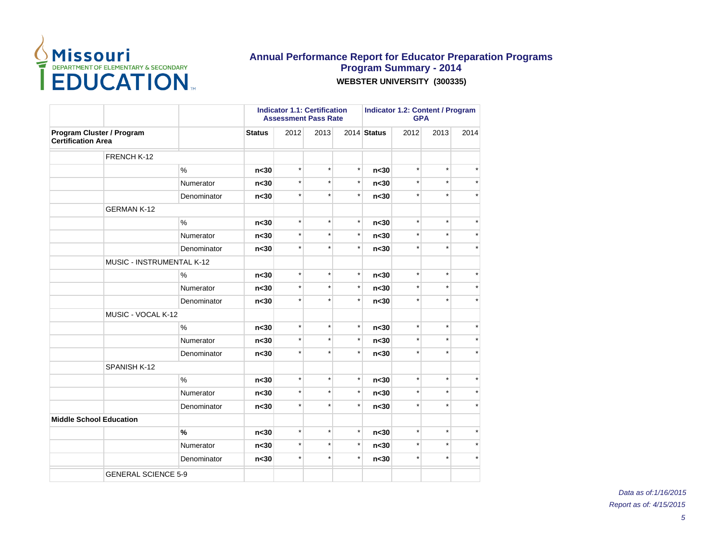

|                                                        |                            |                 |         | <b>Indicator 1.1: Certification</b><br><b>Assessment Pass Rate</b> |          | <b>Indicator 1.2: Content / Program</b><br><b>GPA</b> |         |         |         |
|--------------------------------------------------------|----------------------------|-----------------|---------|--------------------------------------------------------------------|----------|-------------------------------------------------------|---------|---------|---------|
| Program Cluster / Program<br><b>Certification Area</b> |                            | <b>Status</b>   | 2012    | 2013                                                               |          | 2014 Status                                           | 2012    | 2013    | 2014    |
|                                                        | FRENCH K-12                |                 |         |                                                                    |          |                                                       |         |         |         |
|                                                        | $\frac{9}{6}$              | n <sub>30</sub> | $\star$ | $\star$                                                            | $\star$  | n <sub>30</sub>                                       | $\star$ | $\star$ |         |
|                                                        | Numerator                  | n <sub>30</sub> | $\star$ | $\star$                                                            | $\star$  | n <sub>30</sub>                                       | $\star$ | $\star$ |         |
|                                                        | Denominator                | n <sub>30</sub> | $\star$ | $\star$                                                            | $^\star$ | n <sub>30</sub>                                       | $\star$ | $\star$ |         |
|                                                        | <b>GERMAN K-12</b>         |                 |         |                                                                    |          |                                                       |         |         |         |
|                                                        | %                          | n <sub>30</sub> | $\star$ | $\star$                                                            | $\star$  | n <sub>30</sub>                                       | $\star$ | $\star$ |         |
|                                                        | Numerator                  | n <sub>30</sub> | $\star$ | $\star$                                                            | $^\star$ | n <sub>30</sub>                                       | $\star$ | $\star$ |         |
|                                                        | Denominator                | n <sub>30</sub> | $\star$ | $\star$                                                            | $\star$  | n <sub>30</sub>                                       | $\star$ | $\star$ |         |
|                                                        | MUSIC - INSTRUMENTAL K-12  |                 |         |                                                                    |          |                                                       |         |         |         |
|                                                        | $\%$                       | n <sub>30</sub> | $\star$ | $\star$                                                            | $\star$  | n <sub>30</sub>                                       | $\star$ | $\star$ |         |
|                                                        | Numerator                  | n <sub>30</sub> | $\star$ | $\star$                                                            | $\star$  | n <sub>30</sub>                                       | $\star$ | $\star$ |         |
|                                                        | Denominator                | n <sub>30</sub> | $\star$ | $\star$                                                            | $\star$  | n <sub>30</sub>                                       | $\star$ | $\star$ |         |
|                                                        | MUSIC - VOCAL K-12         |                 |         |                                                                    |          |                                                       |         |         |         |
|                                                        | %                          | n <sub>30</sub> | $\star$ | $\star$                                                            | $\star$  | n <sub>30</sub>                                       | $\star$ | $\star$ |         |
|                                                        | Numerator                  | n <sub>30</sub> | $\star$ | $\star$                                                            | $\star$  | n <sub>30</sub>                                       | $\star$ | $\star$ |         |
|                                                        | Denominator                | n<30            | $\star$ | $\star$                                                            | $\star$  | n<30                                                  | $\star$ | $\star$ |         |
|                                                        | SPANISH K-12               |                 |         |                                                                    |          |                                                       |         |         |         |
|                                                        | $\%$                       | n <sub>30</sub> | $\star$ | $\star$                                                            | $\star$  | n <sub>30</sub>                                       | $\star$ | $\star$ |         |
|                                                        | Numerator                  | n <sub>30</sub> | $\star$ | $\star$                                                            | $\star$  | n <sub>30</sub>                                       | $\star$ | $\star$ | $\star$ |
|                                                        | Denominator                | n <sub>30</sub> | $\star$ | $\star$                                                            | $\star$  | n <sub>30</sub>                                       | $\star$ | $\star$ |         |
| <b>Middle School Education</b>                         |                            |                 |         |                                                                    |          |                                                       |         |         |         |
|                                                        | $\frac{9}{6}$              | n <sub>30</sub> | $\star$ | $\star$                                                            | $\star$  | n <sub>30</sub>                                       | $\star$ | $\star$ |         |
|                                                        | Numerator                  | n <sub>30</sub> | $\star$ | $\star$                                                            | $\star$  | n <sub>30</sub>                                       | $\star$ | $\star$ | $\star$ |
|                                                        | Denominator                | n <sub>30</sub> | $\star$ | $\star$                                                            | $\star$  | n <sub>30</sub>                                       | $\star$ | $\star$ |         |
|                                                        | <b>GENERAL SCIENCE 5-9</b> |                 |         |                                                                    |          |                                                       |         |         |         |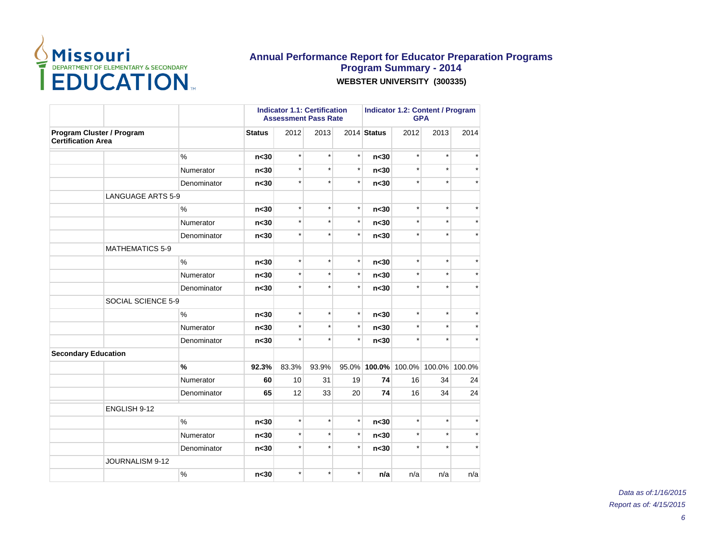

|                                                        |             |                 |         | <b>Indicator 1.1: Certification</b><br><b>Assessment Pass Rate</b> |         | <b>Indicator 1.2: Content / Program</b><br><b>GPA</b> |                     |         |               |
|--------------------------------------------------------|-------------|-----------------|---------|--------------------------------------------------------------------|---------|-------------------------------------------------------|---------------------|---------|---------------|
| Program Cluster / Program<br><b>Certification Area</b> |             | <b>Status</b>   | 2012    | 2013                                                               |         | 2014 Status                                           | 2012                | 2013    | 2014          |
|                                                        | $\%$        | n <sub>30</sub> | $\star$ | $\star$                                                            | $\star$ | n <sub>30</sub>                                       | $\star$             | $\star$ |               |
|                                                        | Numerator   | n <sub>30</sub> | $\star$ | $\star$                                                            | $\star$ | n <sub>30</sub>                                       | $\star$             | $\star$ |               |
|                                                        | Denominator | n <sub>30</sub> | $\star$ | $\star$                                                            | $\star$ | n <sub>30</sub>                                       | $\star$             | $\star$ |               |
| <b>LANGUAGE ARTS 5-9</b>                               |             |                 |         |                                                                    |         |                                                       |                     |         |               |
|                                                        | $\%$        | n <sub>30</sub> | $\star$ | $\star$                                                            | $\star$ | n <sub>30</sub>                                       | $\star$             | $\star$ |               |
|                                                        | Numerator   | n <sub>30</sub> | $\star$ | $\star$                                                            | $\star$ | n <sub>30</sub>                                       |                     | $\star$ |               |
|                                                        | Denominator | n <sub>30</sub> | $\star$ | $\star$                                                            | $\star$ | n <sub>30</sub>                                       | $\star$             | $\star$ | ÷             |
| <b>MATHEMATICS 5-9</b>                                 |             |                 |         |                                                                    |         |                                                       |                     |         |               |
|                                                        | $\%$        | n <sub>30</sub> | $\star$ | $\star$                                                            | $\star$ | n <sub>30</sub>                                       | $\star$             | $\star$ |               |
|                                                        | Numerator   | n <sub>30</sub> | $\star$ | $\star$                                                            | $\star$ | n <sub>30</sub>                                       | $\star$             | $\star$ |               |
|                                                        | Denominator | n<30            | $\star$ | $\star$                                                            | $\star$ | n<30                                                  | $\star$             | $\star$ | $\star$       |
| SOCIAL SCIENCE 5-9                                     |             |                 |         |                                                                    |         |                                                       |                     |         |               |
|                                                        | $\%$        | n <sub>30</sub> | $\star$ | $\star$                                                            | $\star$ | n <sub>30</sub>                                       | $\star$             | $\star$ |               |
|                                                        | Numerator   | n <sub>30</sub> | $\star$ | $\star$                                                            | $\star$ | n <sub>30</sub>                                       | $\star$             | $\star$ | $\star$       |
|                                                        | Denominator | n <sub>30</sub> | $\star$ | $\star$                                                            | $\star$ | n <sub>30</sub>                                       | $\star$             | $\star$ |               |
| <b>Secondary Education</b>                             |             |                 |         |                                                                    |         |                                                       |                     |         |               |
|                                                        | %           | 92.3%           | 83.3%   | 93.9%                                                              |         |                                                       | 95.0% 100.0% 100.0% |         | 100.0% 100.0% |
|                                                        | Numerator   | 60              | 10      | 31                                                                 | 19      | 74                                                    | 16                  | 34      | 24            |
|                                                        | Denominator | 65              | 12      | 33                                                                 | 20      | 74                                                    | 16                  | 34      | 24            |
| ENGLISH 9-12                                           |             |                 |         |                                                                    |         |                                                       |                     |         |               |
|                                                        | $\%$        | n <sub>30</sub> | $\star$ | $\star$                                                            | $\star$ | n <sub>30</sub>                                       | $\star$             | $\star$ |               |
|                                                        | Numerator   | n <sub>30</sub> | $\star$ | $\star$                                                            | $\star$ | n <sub>30</sub>                                       | $\star$             | $\star$ |               |
|                                                        | Denominator | n <sub>30</sub> | $\star$ | $\star$                                                            | $\star$ | n <sub>30</sub>                                       | $\star$             | $\star$ |               |
| JOURNALISM 9-12                                        |             |                 |         |                                                                    |         |                                                       |                     |         |               |
|                                                        | $\%$        | n <sub>30</sub> | $\star$ | $\star$                                                            | $\star$ | n/a                                                   | n/a                 | n/a     | n/a           |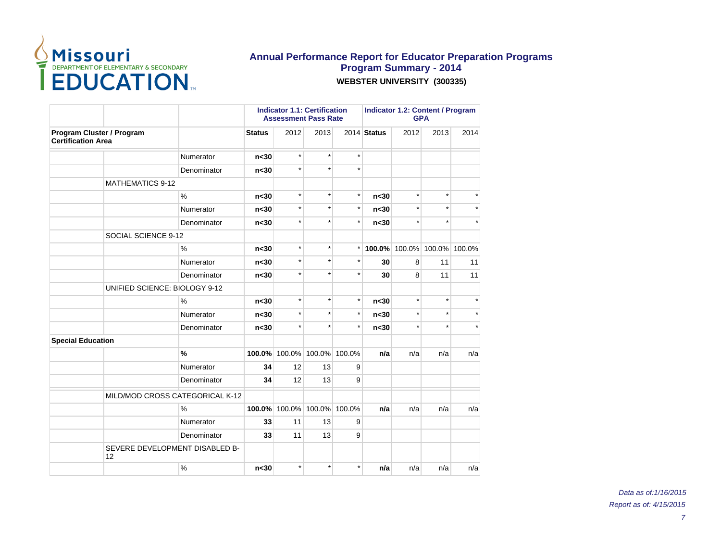

|                                                        |                                 |                 | <b>Indicator 1.1: Certification</b><br><b>Assessment Pass Rate</b> |         |               | <b>Indicator 1.2: Content / Program</b><br><b>GPA</b> |         |                             |         |
|--------------------------------------------------------|---------------------------------|-----------------|--------------------------------------------------------------------|---------|---------------|-------------------------------------------------------|---------|-----------------------------|---------|
| Program Cluster / Program<br><b>Certification Area</b> |                                 | <b>Status</b>   | 2012                                                               | 2013    |               | 2014 Status                                           | 2012    | 2013                        | 2014    |
|                                                        | Numerator                       | n <sub>30</sub> | $\star$                                                            | $\star$ | $\star$       |                                                       |         |                             |         |
|                                                        | Denominator                     | n <sub>30</sub> | $\star$                                                            | $\star$ | $\star$       |                                                       |         |                             |         |
|                                                        | <b>MATHEMATICS 9-12</b>         |                 |                                                                    |         |               |                                                       |         |                             |         |
|                                                        | $\%$                            | n <sub>30</sub> | $\star$                                                            | $\star$ | $\star$       | n <sub>30</sub>                                       | $\star$ | $\star$                     |         |
|                                                        | Numerator                       | n <sub>30</sub> | $\star$                                                            | $\star$ | $\star$       | n <sub>30</sub>                                       | $\star$ | $\star$                     |         |
|                                                        | Denominator                     | n <sub>30</sub> | $\star$                                                            | $\star$ | $\star$       | n <sub>30</sub>                                       | $\star$ | $\star$                     |         |
|                                                        | SOCIAL SCIENCE 9-12             |                 |                                                                    |         |               |                                                       |         |                             |         |
|                                                        | $\frac{0}{0}$                   | n <sub>30</sub> | $\star$                                                            | $\star$ | $\star$       |                                                       |         | 100.0% 100.0% 100.0% 100.0% |         |
|                                                        | Numerator                       | n <sub>30</sub> | $\star$                                                            | $\star$ | $^\star$      | 30                                                    | 8       | 11                          | 11      |
|                                                        | Denominator                     | n <sub>30</sub> | $\star$                                                            | $\star$ | $\star$       | 30                                                    | 8       | 11                          | 11      |
|                                                        | UNIFIED SCIENCE: BIOLOGY 9-12   |                 |                                                                    |         |               |                                                       |         |                             |         |
|                                                        | $\%$                            | n <sub>30</sub> | $\star$                                                            | $\star$ | $\star$       | n <sub>30</sub>                                       | $\star$ | $\star$                     | $\star$ |
|                                                        | Numerator                       | n <sub>30</sub> | $\star$                                                            | $\star$ | $\star$       | n <sub>30</sub>                                       | $\star$ | $\star$                     | $\star$ |
|                                                        | Denominator                     | n <sub>30</sub> | $\star$                                                            | $\star$ | $\star$       | n <sub>30</sub>                                       | $\star$ | $\star$                     |         |
| <b>Special Education</b>                               |                                 |                 |                                                                    |         |               |                                                       |         |                             |         |
|                                                        | %                               | 100.0%          | 100.0%                                                             | 100.0%  | 100.0%        | n/a                                                   | n/a     | n/a                         | n/a     |
|                                                        | Numerator                       | 34              | 12                                                                 | 13      | 9             |                                                       |         |                             |         |
|                                                        | Denominator                     | 34              | 12                                                                 | 13      | 9             |                                                       |         |                             |         |
|                                                        | MILD/MOD CROSS CATEGORICAL K-12 |                 |                                                                    |         |               |                                                       |         |                             |         |
|                                                        | $\%$                            | 100.0%          | 100.0%                                                             |         | 100.0% 100.0% | n/a                                                   | n/a     | n/a                         | n/a     |
|                                                        | Numerator                       | 33              | 11                                                                 | 13      | 9             |                                                       |         |                             |         |
|                                                        | Denominator                     | 33              | 11                                                                 | 13      | 9             |                                                       |         |                             |         |
| 12                                                     | SEVERE DEVELOPMENT DISABLED B-  |                 |                                                                    |         |               |                                                       |         |                             |         |
|                                                        | %                               | n <sub>30</sub> | $\star$                                                            | $\star$ | $\star$       | n/a                                                   | n/a     | n/a                         | n/a     |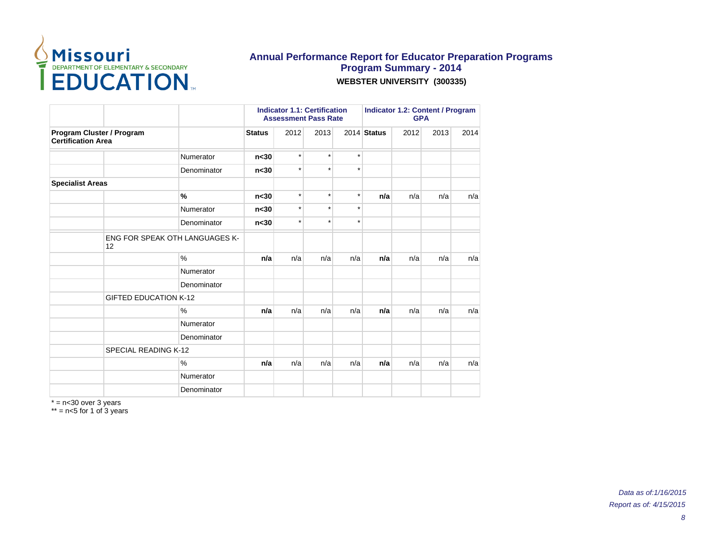

|                                                        |                              |                                       |                 |         | <b>Indicator 1.1: Certification</b><br><b>Assessment Pass Rate</b> |         | <b>Indicator 1.2: Content / Program</b><br><b>GPA</b> |      |      |      |
|--------------------------------------------------------|------------------------------|---------------------------------------|-----------------|---------|--------------------------------------------------------------------|---------|-------------------------------------------------------|------|------|------|
| Program Cluster / Program<br><b>Certification Area</b> |                              |                                       | <b>Status</b>   | 2012    | 2013                                                               |         | $2014$ Status                                         | 2012 | 2013 | 2014 |
|                                                        |                              | Numerator                             | n <sub>30</sub> | $\star$ | $\star$                                                            | $\star$ |                                                       |      |      |      |
|                                                        |                              | Denominator                           | n <sub>30</sub> | $\star$ | $\star$                                                            | $\star$ |                                                       |      |      |      |
| <b>Specialist Areas</b>                                |                              |                                       |                 |         |                                                                    |         |                                                       |      |      |      |
|                                                        |                              | %                                     | n <sub>30</sub> | $\star$ | $\star$                                                            | $\star$ | n/a                                                   | n/a  | n/a  | n/a  |
|                                                        |                              | Numerator                             | n <sub>30</sub> | $\star$ | $\star$                                                            | $\star$ |                                                       |      |      |      |
|                                                        |                              | Denominator                           | n <sub>30</sub> | $\star$ | $\star$                                                            | $\star$ |                                                       |      |      |      |
|                                                        | 12                           | <b>ENG FOR SPEAK OTH LANGUAGES K-</b> |                 |         |                                                                    |         |                                                       |      |      |      |
|                                                        |                              | $\%$                                  | n/a             | n/a     | n/a                                                                | n/a     | n/a                                                   | n/a  | n/a  | n/a  |
|                                                        |                              | Numerator                             |                 |         |                                                                    |         |                                                       |      |      |      |
|                                                        |                              | Denominator                           |                 |         |                                                                    |         |                                                       |      |      |      |
|                                                        | <b>GIFTED EDUCATION K-12</b> |                                       |                 |         |                                                                    |         |                                                       |      |      |      |
|                                                        |                              | %                                     | n/a             | n/a     | n/a                                                                | n/a     | n/a                                                   | n/a  | n/a  | n/a  |
|                                                        |                              | Numerator                             |                 |         |                                                                    |         |                                                       |      |      |      |
|                                                        |                              | Denominator                           |                 |         |                                                                    |         |                                                       |      |      |      |
|                                                        | SPECIAL READING K-12         |                                       |                 |         |                                                                    |         |                                                       |      |      |      |
|                                                        |                              | $\%$                                  | n/a             | n/a     | n/a                                                                | n/a     | n/a                                                   | n/a  | n/a  | n/a  |
|                                                        |                              | Numerator                             |                 |         |                                                                    |         |                                                       |      |      |      |
|                                                        |                              | Denominator                           |                 |         |                                                                    |         |                                                       |      |      |      |

\* = n<30 over 3 years

\*\* = n<5 for 1 of 3 years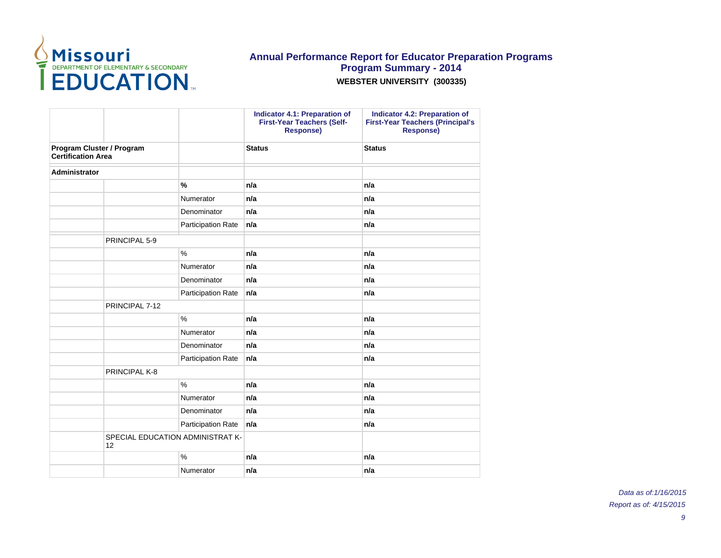

|                                                        |                                        |                           | Indicator 4.1: Preparation of<br><b>First-Year Teachers (Self-</b><br><b>Response)</b> | Indicator 4.2: Preparation of<br><b>First-Year Teachers (Principal's</b><br><b>Response)</b> |
|--------------------------------------------------------|----------------------------------------|---------------------------|----------------------------------------------------------------------------------------|----------------------------------------------------------------------------------------------|
| Program Cluster / Program<br><b>Certification Area</b> |                                        |                           | <b>Status</b>                                                                          | <b>Status</b>                                                                                |
| <b>Administrator</b>                                   |                                        |                           |                                                                                        |                                                                                              |
|                                                        |                                        | $\frac{9}{6}$             | n/a                                                                                    | n/a                                                                                          |
|                                                        |                                        | Numerator                 | n/a                                                                                    | n/a                                                                                          |
|                                                        |                                        | Denominator               | n/a                                                                                    | n/a                                                                                          |
|                                                        |                                        | Participation Rate        | n/a                                                                                    | n/a                                                                                          |
|                                                        | PRINCIPAL 5-9                          |                           |                                                                                        |                                                                                              |
|                                                        |                                        | $\%$                      | n/a                                                                                    | n/a                                                                                          |
|                                                        |                                        | Numerator                 | n/a                                                                                    | n/a                                                                                          |
|                                                        |                                        | Denominator               | n/a                                                                                    | n/a                                                                                          |
|                                                        |                                        | <b>Participation Rate</b> | n/a                                                                                    | n/a                                                                                          |
|                                                        | PRINCIPAL 7-12                         |                           |                                                                                        |                                                                                              |
|                                                        |                                        | $\%$                      | n/a                                                                                    | n/a                                                                                          |
|                                                        |                                        | Numerator                 | n/a                                                                                    | n/a                                                                                          |
|                                                        |                                        | Denominator               | n/a                                                                                    | n/a                                                                                          |
|                                                        |                                        | Participation Rate        | n/a                                                                                    | n/a                                                                                          |
|                                                        | PRINCIPAL K-8                          |                           |                                                                                        |                                                                                              |
|                                                        |                                        | $\%$                      | n/a                                                                                    | n/a                                                                                          |
|                                                        |                                        | Numerator                 | n/a                                                                                    | n/a                                                                                          |
|                                                        |                                        | Denominator               | n/a                                                                                    | n/a                                                                                          |
|                                                        |                                        | Participation Rate        | n/a                                                                                    | n/a                                                                                          |
|                                                        | SPECIAL EDUCATION ADMINISTRAT K-<br>12 |                           |                                                                                        |                                                                                              |
|                                                        |                                        | $\%$                      | n/a                                                                                    | n/a                                                                                          |
|                                                        |                                        | Numerator                 | n/a                                                                                    | n/a                                                                                          |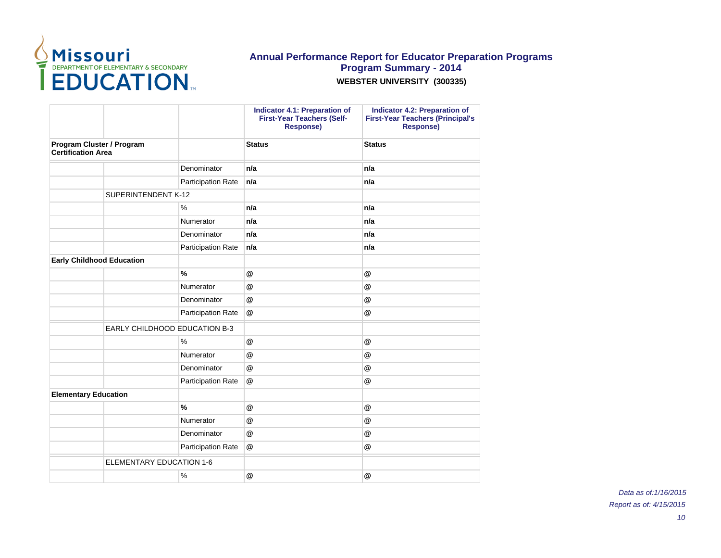

|                                                        |                                      | <b>Indicator 4.1: Preparation of</b><br><b>First-Year Teachers (Self-</b><br><b>Response)</b> | <b>Indicator 4.2: Preparation of</b><br><b>First-Year Teachers (Principal's</b><br><b>Response)</b> |
|--------------------------------------------------------|--------------------------------------|-----------------------------------------------------------------------------------------------|-----------------------------------------------------------------------------------------------------|
| Program Cluster / Program<br><b>Certification Area</b> |                                      | <b>Status</b>                                                                                 | <b>Status</b>                                                                                       |
|                                                        | Denominator                          | n/a                                                                                           | n/a                                                                                                 |
|                                                        | Participation Rate                   | n/a                                                                                           | n/a                                                                                                 |
| SUPERINTENDENT K-12                                    |                                      |                                                                                               |                                                                                                     |
|                                                        | $\%$                                 | n/a                                                                                           | n/a                                                                                                 |
|                                                        | Numerator                            | n/a                                                                                           | n/a                                                                                                 |
|                                                        | Denominator                          | n/a                                                                                           | n/a                                                                                                 |
|                                                        | Participation Rate                   | n/a                                                                                           | n/a                                                                                                 |
| <b>Early Childhood Education</b>                       |                                      |                                                                                               |                                                                                                     |
|                                                        | $\frac{9}{6}$                        | $^{\circledR}$                                                                                | @                                                                                                   |
|                                                        | Numerator                            | @                                                                                             | @                                                                                                   |
|                                                        | Denominator                          | @                                                                                             | @                                                                                                   |
|                                                        | <b>Participation Rate</b>            | @                                                                                             | $^\circledR$                                                                                        |
|                                                        | <b>EARLY CHILDHOOD EDUCATION B-3</b> |                                                                                               |                                                                                                     |
|                                                        | $\frac{0}{0}$                        | $\omega$                                                                                      | @                                                                                                   |
|                                                        | Numerator                            | $^{\circledR}$                                                                                | $^{\circledR}$                                                                                      |
|                                                        | Denominator                          | $^{\circledR}$                                                                                | @                                                                                                   |
|                                                        | Participation Rate                   | @                                                                                             | $^{\circledR}$                                                                                      |
| <b>Elementary Education</b>                            |                                      |                                                                                               |                                                                                                     |
|                                                        | $\frac{9}{6}$                        | @                                                                                             | $^{\circledR}$                                                                                      |
|                                                        | Numerator                            | @                                                                                             | $^{\textregistered}$                                                                                |
|                                                        | Denominator                          | $^{\circledR}$                                                                                | $^{\circledR}$                                                                                      |
|                                                        | Participation Rate                   | @                                                                                             | @                                                                                                   |
| <b>ELEMENTARY EDUCATION 1-6</b>                        |                                      |                                                                                               |                                                                                                     |
|                                                        | $\%$                                 | @                                                                                             | @                                                                                                   |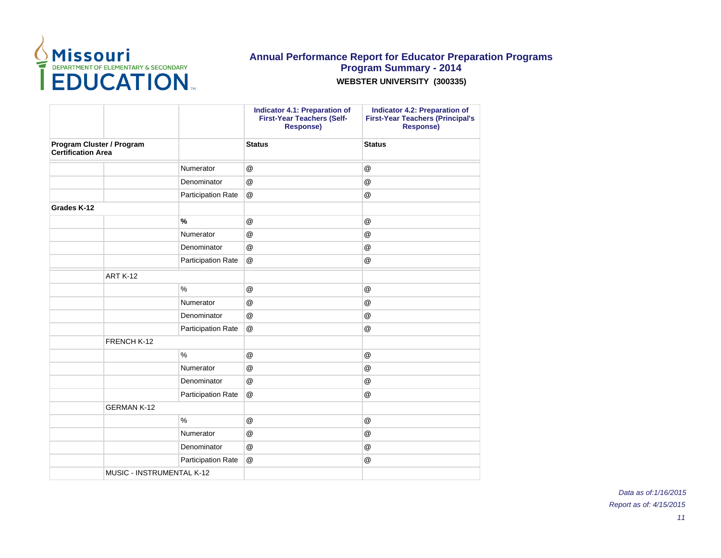

|                           |                           |                           | Indicator 4.1: Preparation of<br><b>First-Year Teachers (Self-</b><br><b>Response)</b> | Indicator 4.2: Preparation of<br><b>First-Year Teachers (Principal's</b><br>Response) |
|---------------------------|---------------------------|---------------------------|----------------------------------------------------------------------------------------|---------------------------------------------------------------------------------------|
| <b>Certification Area</b> | Program Cluster / Program |                           | <b>Status</b>                                                                          | <b>Status</b>                                                                         |
|                           |                           | Numerator                 | $^\circledR$                                                                           | $\circleda$                                                                           |
|                           |                           | Denominator               | $^{\circledR}$                                                                         | @                                                                                     |
|                           |                           | <b>Participation Rate</b> | @                                                                                      | $\circleda$                                                                           |
| Grades K-12               |                           |                           |                                                                                        |                                                                                       |
|                           |                           | $\frac{9}{6}$             | @                                                                                      | @                                                                                     |
|                           |                           | Numerator                 | $^{\circledR}$                                                                         | $^{\circledR}$                                                                        |
|                           |                           | Denominator               | @                                                                                      | @                                                                                     |
|                           |                           | <b>Participation Rate</b> | $^{\circledR}$                                                                         | @                                                                                     |
|                           | <b>ART K-12</b>           |                           |                                                                                        |                                                                                       |
|                           |                           | $\%$                      | $^\circledR$                                                                           | $\circleda$                                                                           |
|                           |                           | Numerator                 | @                                                                                      | @                                                                                     |
|                           |                           | Denominator               | $^\circledR$                                                                           | $^\circledR$                                                                          |
|                           |                           | <b>Participation Rate</b> | @                                                                                      | @                                                                                     |
|                           | FRENCH K-12               |                           |                                                                                        |                                                                                       |
|                           |                           | $\frac{0}{0}$             | @                                                                                      | @                                                                                     |
|                           |                           | Numerator                 | @                                                                                      | @                                                                                     |
|                           |                           | Denominator               | $^{\circledR}$                                                                         | @                                                                                     |
|                           |                           | <b>Participation Rate</b> | @                                                                                      | @                                                                                     |
|                           | <b>GERMAN K-12</b>        |                           |                                                                                        |                                                                                       |
|                           |                           | $\%$                      | $^\circledR$                                                                           | $\circleda$                                                                           |
|                           |                           | Numerator                 | $^{\circledR}$                                                                         | @                                                                                     |
|                           |                           | Denominator               | @                                                                                      | @                                                                                     |
|                           |                           | <b>Participation Rate</b> | @                                                                                      | $^\circledR$                                                                          |
|                           | MUSIC - INSTRUMENTAL K-12 |                           |                                                                                        |                                                                                       |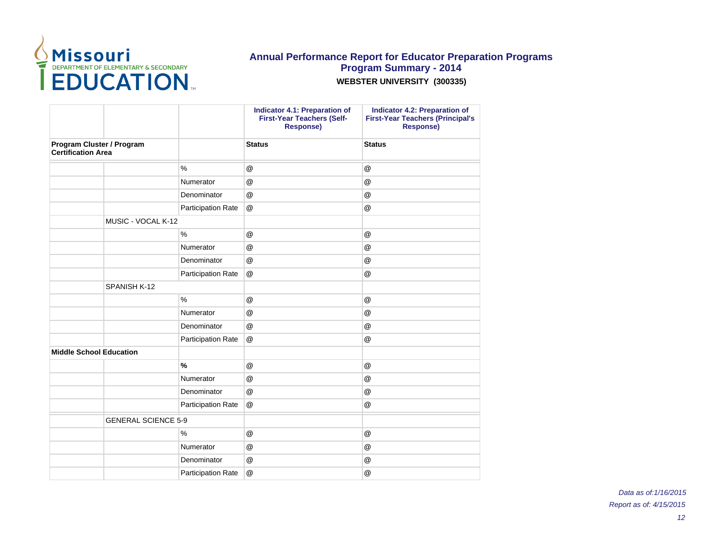

|                            | Indicator 4.1: Preparation of<br><b>First-Year Teachers (Self-</b><br><b>Response)</b> | Indicator 4.2: Preparation of<br><b>First-Year Teachers (Principal's</b><br>Response) |
|----------------------------|----------------------------------------------------------------------------------------|---------------------------------------------------------------------------------------|
|                            | <b>Status</b>                                                                          | <b>Status</b>                                                                         |
| $\%$                       | $^\circledR$                                                                           | @                                                                                     |
| Numerator                  | @                                                                                      | @                                                                                     |
| Denominator                | $^{\circledR}$                                                                         | @                                                                                     |
| Participation Rate         | @                                                                                      | @                                                                                     |
|                            |                                                                                        |                                                                                       |
| $\%$                       | $^\circledR$                                                                           | @                                                                                     |
| Numerator                  | @                                                                                      | @                                                                                     |
| Denominator                | $^{\circledR}$                                                                         | @                                                                                     |
| Participation Rate         | @                                                                                      | @                                                                                     |
|                            |                                                                                        |                                                                                       |
| $\%$                       | @                                                                                      | @                                                                                     |
| Numerator                  | @                                                                                      | @                                                                                     |
| Denominator                | @                                                                                      | @                                                                                     |
| Participation Rate         | @                                                                                      | @                                                                                     |
|                            |                                                                                        |                                                                                       |
| $\%$                       | @                                                                                      | $^{\circledR}$                                                                        |
| Numerator                  | @                                                                                      | @                                                                                     |
| Denominator                | @                                                                                      | @                                                                                     |
| Participation Rate         | @                                                                                      | @                                                                                     |
| <b>GENERAL SCIENCE 5-9</b> |                                                                                        |                                                                                       |
| $\%$                       | @                                                                                      | @                                                                                     |
| Numerator                  | @                                                                                      | @                                                                                     |
| Denominator                | @                                                                                      | @                                                                                     |
| Participation Rate         | @                                                                                      | @                                                                                     |
|                            |                                                                                        |                                                                                       |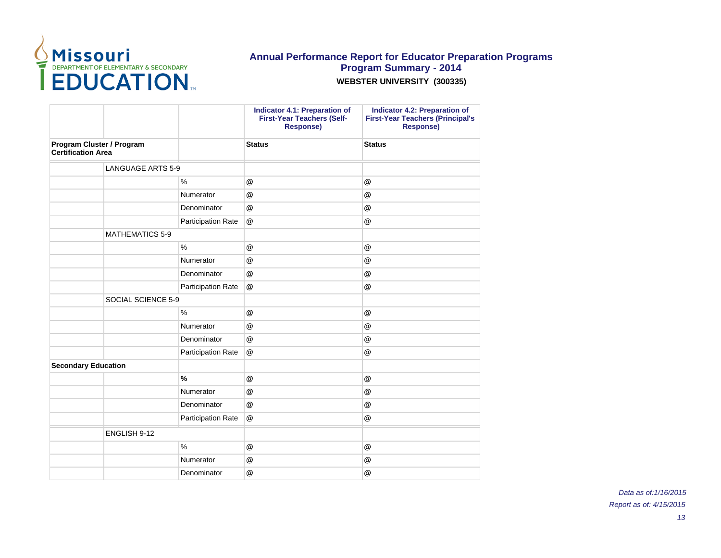

|                                                        |                          |                    | <b>Indicator 4.1: Preparation of</b><br><b>First-Year Teachers (Self-</b><br><b>Response)</b> | <b>Indicator 4.2: Preparation of</b><br><b>First-Year Teachers (Principal's</b><br><b>Response)</b> |
|--------------------------------------------------------|--------------------------|--------------------|-----------------------------------------------------------------------------------------------|-----------------------------------------------------------------------------------------------------|
| Program Cluster / Program<br><b>Certification Area</b> |                          | <b>Status</b>      | <b>Status</b>                                                                                 |                                                                                                     |
|                                                        | <b>LANGUAGE ARTS 5-9</b> |                    |                                                                                               |                                                                                                     |
|                                                        |                          | $\frac{0}{0}$      | $^{\circledR}$                                                                                | @                                                                                                   |
|                                                        |                          | Numerator          | $^\circledR$                                                                                  | $^\circledR$                                                                                        |
|                                                        |                          | Denominator        | $^\circledR$                                                                                  | $^\circledR$                                                                                        |
|                                                        |                          | Participation Rate | $^{\circledR}$                                                                                | @                                                                                                   |
|                                                        | <b>MATHEMATICS 5-9</b>   |                    |                                                                                               |                                                                                                     |
|                                                        |                          | $\frac{0}{0}$      | $^\circledR$                                                                                  | $^\circledR$                                                                                        |
|                                                        |                          | Numerator          | @                                                                                             | @                                                                                                   |
|                                                        |                          | Denominator        | $^{\circledR}$                                                                                | @                                                                                                   |
|                                                        |                          | Participation Rate | @                                                                                             | @                                                                                                   |
|                                                        | SOCIAL SCIENCE 5-9       |                    |                                                                                               |                                                                                                     |
|                                                        |                          | $\%$               | $^{\circledR}$                                                                                | @                                                                                                   |
|                                                        |                          | Numerator          | $^{\circledR}$                                                                                | @                                                                                                   |
|                                                        |                          | Denominator        | $^{\circledR}$                                                                                | @                                                                                                   |
|                                                        |                          | Participation Rate | @                                                                                             | @                                                                                                   |
| <b>Secondary Education</b>                             |                          |                    |                                                                                               |                                                                                                     |
|                                                        |                          | $\frac{9}{6}$      | @                                                                                             | @                                                                                                   |
|                                                        |                          | Numerator          | $^{\circledR}$                                                                                | @                                                                                                   |
|                                                        |                          | Denominator        | @                                                                                             | $\circleda$                                                                                         |
|                                                        |                          | Participation Rate | @                                                                                             | $^\circledR$                                                                                        |
|                                                        | ENGLISH 9-12             |                    |                                                                                               |                                                                                                     |
|                                                        |                          | $\frac{0}{0}$      | @                                                                                             | @                                                                                                   |
|                                                        |                          | Numerator          | @                                                                                             | @                                                                                                   |
|                                                        |                          | Denominator        | @                                                                                             | @                                                                                                   |
|                                                        |                          |                    |                                                                                               |                                                                                                     |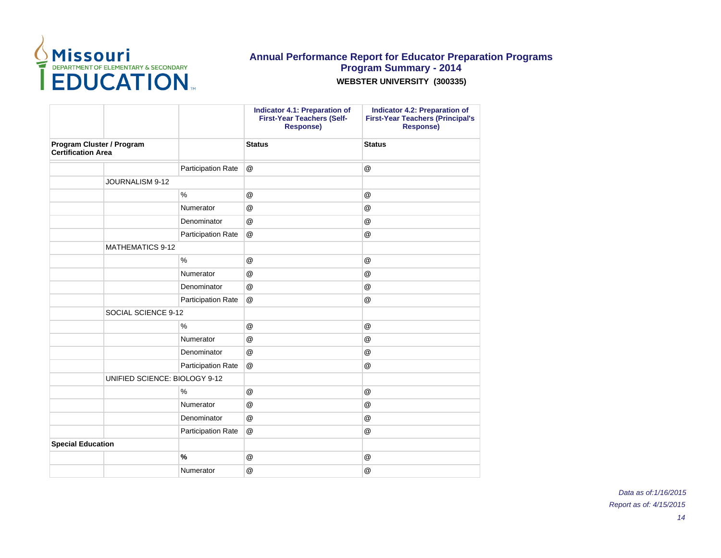

|                                                        |                               |                           | Indicator 4.1: Preparation of<br><b>First-Year Teachers (Self-</b><br><b>Response)</b> | <b>Indicator 4.2: Preparation of</b><br><b>First-Year Teachers (Principal's</b><br><b>Response)</b> |
|--------------------------------------------------------|-------------------------------|---------------------------|----------------------------------------------------------------------------------------|-----------------------------------------------------------------------------------------------------|
| Program Cluster / Program<br><b>Certification Area</b> |                               |                           | <b>Status</b>                                                                          | <b>Status</b>                                                                                       |
|                                                        |                               | Participation Rate        | @                                                                                      | $\circleda$                                                                                         |
|                                                        | JOURNALISM 9-12               |                           |                                                                                        |                                                                                                     |
|                                                        |                               | $\%$                      | @                                                                                      | @                                                                                                   |
|                                                        |                               | Numerator                 | @                                                                                      | @                                                                                                   |
|                                                        |                               | Denominator               | @                                                                                      | @                                                                                                   |
|                                                        |                               | Participation Rate        | @                                                                                      | @                                                                                                   |
|                                                        | <b>MATHEMATICS 9-12</b>       |                           |                                                                                        |                                                                                                     |
|                                                        |                               | $\%$                      | @                                                                                      | @                                                                                                   |
|                                                        |                               | Numerator                 | @                                                                                      | $^\circledR$                                                                                        |
|                                                        |                               | Denominator               | @                                                                                      | @                                                                                                   |
|                                                        |                               | Participation Rate        | @                                                                                      | @                                                                                                   |
|                                                        | SOCIAL SCIENCE 9-12           |                           |                                                                                        |                                                                                                     |
|                                                        |                               | $\%$                      | @                                                                                      | @                                                                                                   |
|                                                        |                               | Numerator                 | @                                                                                      | @                                                                                                   |
|                                                        |                               | Denominator               | @                                                                                      | @                                                                                                   |
|                                                        |                               | Participation Rate        | @                                                                                      | @                                                                                                   |
|                                                        | UNIFIED SCIENCE: BIOLOGY 9-12 |                           |                                                                                        |                                                                                                     |
|                                                        |                               | $\%$                      | $^{\circledR}$                                                                         | @                                                                                                   |
|                                                        |                               | Numerator                 | @                                                                                      | @                                                                                                   |
|                                                        |                               | Denominator               | @                                                                                      | @                                                                                                   |
|                                                        |                               | <b>Participation Rate</b> | @                                                                                      | @                                                                                                   |
| <b>Special Education</b>                               |                               |                           |                                                                                        |                                                                                                     |
|                                                        |                               | $\frac{9}{6}$             | $^{\circledR}$                                                                         | $^{\circledR}$                                                                                      |
|                                                        |                               | Numerator                 | @                                                                                      | $^\circledR$                                                                                        |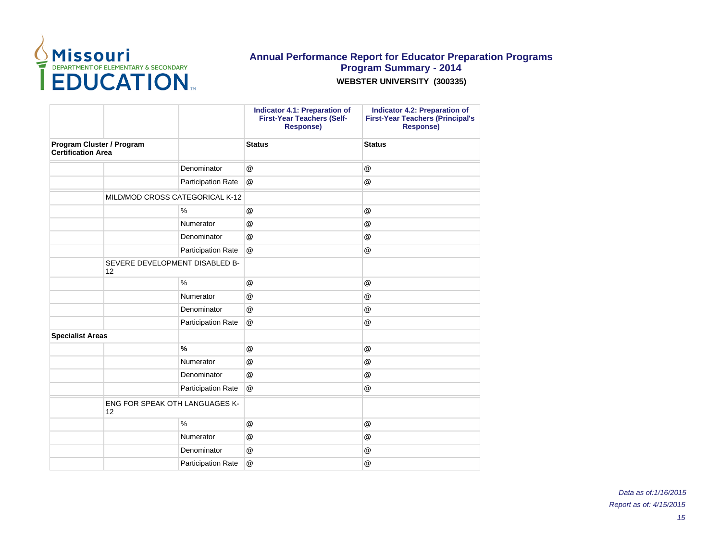

|                                                        |                                      |                    | <b>Indicator 4.1: Preparation of</b><br><b>First-Year Teachers (Self-</b><br><b>Response)</b> | <b>Indicator 4.2: Preparation of</b><br><b>First-Year Teachers (Principal's</b><br><b>Response)</b> |
|--------------------------------------------------------|--------------------------------------|--------------------|-----------------------------------------------------------------------------------------------|-----------------------------------------------------------------------------------------------------|
| Program Cluster / Program<br><b>Certification Area</b> |                                      | <b>Status</b>      | <b>Status</b>                                                                                 |                                                                                                     |
|                                                        |                                      | Denominator        | $^{\circledR}$                                                                                | @                                                                                                   |
|                                                        |                                      | Participation Rate | @                                                                                             | @                                                                                                   |
|                                                        | MILD/MOD CROSS CATEGORICAL K-12      |                    |                                                                                               |                                                                                                     |
|                                                        |                                      | $\%$               | @                                                                                             | @                                                                                                   |
|                                                        |                                      | Numerator          | @                                                                                             | @                                                                                                   |
|                                                        |                                      | Denominator        | @                                                                                             | @                                                                                                   |
|                                                        |                                      | Participation Rate | @                                                                                             | @                                                                                                   |
|                                                        | SEVERE DEVELOPMENT DISABLED B-<br>12 |                    |                                                                                               |                                                                                                     |
|                                                        |                                      | $\frac{0}{0}$      | @                                                                                             | @                                                                                                   |
|                                                        |                                      | Numerator          | @                                                                                             | @                                                                                                   |
|                                                        |                                      | Denominator        | @                                                                                             | @                                                                                                   |
|                                                        |                                      | Participation Rate | @                                                                                             | @                                                                                                   |
| <b>Specialist Areas</b>                                |                                      |                    |                                                                                               |                                                                                                     |
|                                                        |                                      | $\%$               | $\circleda$                                                                                   | @                                                                                                   |
|                                                        |                                      | Numerator          | @                                                                                             | @                                                                                                   |
|                                                        |                                      | Denominator        | @                                                                                             | @                                                                                                   |
|                                                        |                                      | Participation Rate | @                                                                                             | @                                                                                                   |
|                                                        | ENG FOR SPEAK OTH LANGUAGES K-<br>12 |                    |                                                                                               |                                                                                                     |
|                                                        |                                      | %                  | @                                                                                             | @                                                                                                   |
|                                                        |                                      | Numerator          | $\circleda$                                                                                   | @                                                                                                   |
|                                                        |                                      | Denominator        | @                                                                                             | @                                                                                                   |
|                                                        |                                      | Participation Rate | @                                                                                             | @                                                                                                   |